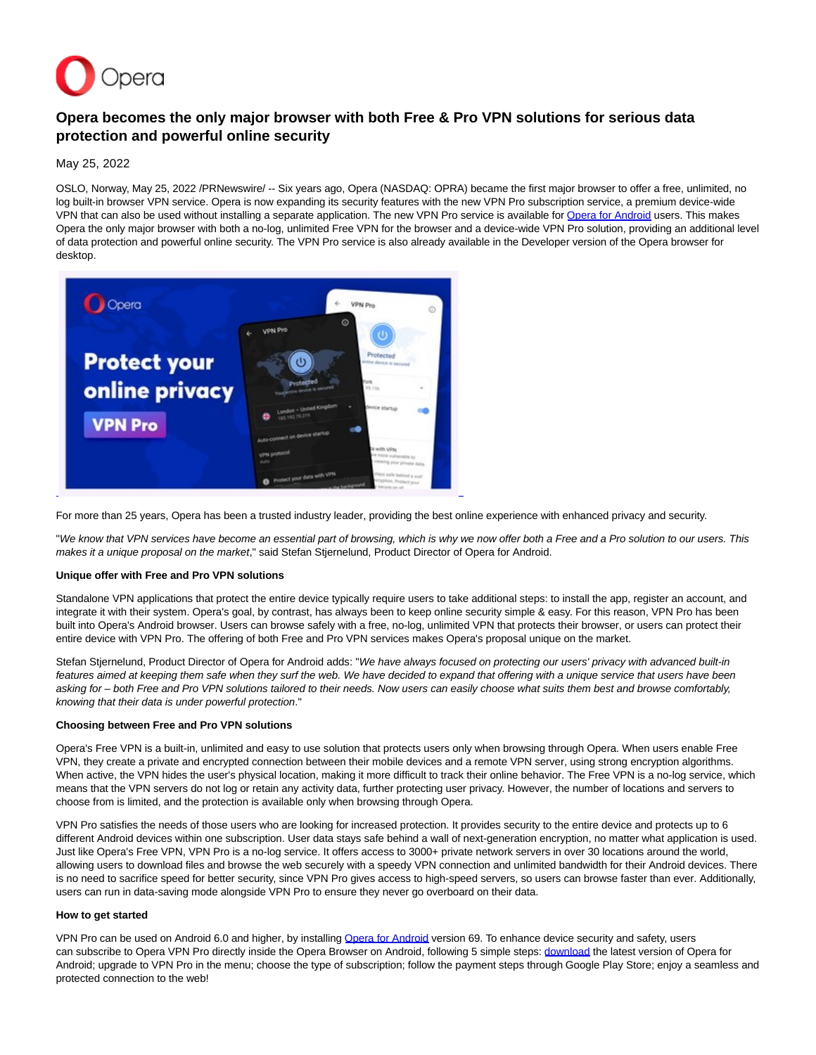

# **Opera becomes the only major browser with both Free & Pro VPN solutions for serious data protection and powerful online security**

May 25, 2022

OSLO, Norway, May 25, 2022 /PRNewswire/ -- Six years ago, Opera (NASDAQ: OPRA) became the first major browser to offer a free, unlimited, no log built-in browser VPN service. Opera is now expanding its security features with the new VPN Pro subscription service, a premium device-wide VPN that can also be used without installing a separate application. The new VPN Pro service is available for [Opera for Android u](https://c212.net/c/link/?t=0&l=en&o=3548086-1&h=524492760&u=https%3A%2F%2Fvpn-pro.onelink.me%2FTCPH%2Fhwo94jl9&a=Opera+for+Android)sers. This makes Opera the only major browser with both a no-log, unlimited Free VPN for the browser and a device-wide VPN Pro solution, providing an additional level of data protection and powerful online security. The VPN Pro service is also already available in the Developer version of the Opera browser for desktop.



For more than 25 years, Opera has been a trusted industry leader, providing the best online experience with enhanced privacy and security.

"We know that VPN services have become an essential part of browsing, which is why we now offer both a Free and a Pro solution to our users. This makes it a unique proposal on the market," said Stefan Stjernelund, Product Director of Opera for Android.

#### **Unique offer with Free and Pro VPN solutions**

Standalone VPN applications that protect the entire device typically require users to take additional steps: to install the app, register an account, and integrate it with their system. Opera's goal, by contrast, has always been to keep online security simple & easy. For this reason, VPN Pro has been built into Opera's Android browser. Users can browse safely with a free, no-log, unlimited VPN that protects their browser, or users can protect their entire device with VPN Pro. The offering of both Free and Pro VPN services makes Opera's proposal unique on the market.

Stefan Stjernelund, Product Director of Opera for Android adds: "We have always focused on protecting our users' privacy with advanced built-in features aimed at keeping them safe when they surf the web. We have decided to expand that offering with a unique service that users have been asking for – both Free and Pro VPN solutions tailored to their needs. Now users can easily choose what suits them best and browse comfortably, knowing that their data is under powerful protection."

### **Choosing between Free and Pro VPN solutions**

Opera's Free VPN is a built-in, unlimited and easy to use solution that protects users only when browsing through Opera. When users enable Free VPN, they create a private and encrypted connection between their mobile devices and a remote VPN server, using strong encryption algorithms. When active, the VPN hides the user's physical location, making it more difficult to track their online behavior. The Free VPN is a no-log service, which means that the VPN servers do not log or retain any activity data, further protecting user privacy. However, the number of locations and servers to choose from is limited, and the protection is available only when browsing through Opera.

VPN Pro satisfies the needs of those users who are looking for increased protection. It provides security to the entire device and protects up to 6 different Android devices within one subscription. User data stays safe behind a wall of next-generation encryption, no matter what application is used. Just like Opera's Free VPN, VPN Pro is a no-log service. It offers access to 3000+ private network servers in over 30 locations around the world, allowing users to download files and browse the web securely with a speedy VPN connection and unlimited bandwidth for their Android devices. There is no need to sacrifice speed for better security, since VPN Pro gives access to high-speed servers, so users can browse faster than ever. Additionally, users can run in data-saving mode alongside VPN Pro to ensure they never go overboard on their data.

#### **How to get started**

VPN Pro can be used on Android 6.0 and higher, by installing [Opera for Android v](https://c212.net/c/link/?t=0&l=en&o=3548086-1&h=524492760&u=https%3A%2F%2Fvpn-pro.onelink.me%2FTCPH%2Fhwo94jl9&a=Opera+for+Android)ersion 69. To enhance device security and safety, users can subscribe to Opera VPN Pro [d](https://c212.net/c/link/?t=0&l=en&o=3548086-1&h=3206574027&u=https%3A%2F%2Fvpn-pro.onelink.me%2FTCPH%2Fhwo94jl9&a=d)irectly inside the Opera Browser on Android, following 5 simple steps: d[ownload t](https://c212.net/c/link/?t=0&l=en&o=3548086-1&h=3640458183&u=https%3A%2F%2Fvpn-pro.onelink.me%2FTCPH%2Fhwo94jl9&a=ownload)he latest version of Opera for Android; upgrade to VPN Pro in the menu; choose the type of subscription; follow the payment steps through Google Play Store; enjoy a seamless and protected connection to the web!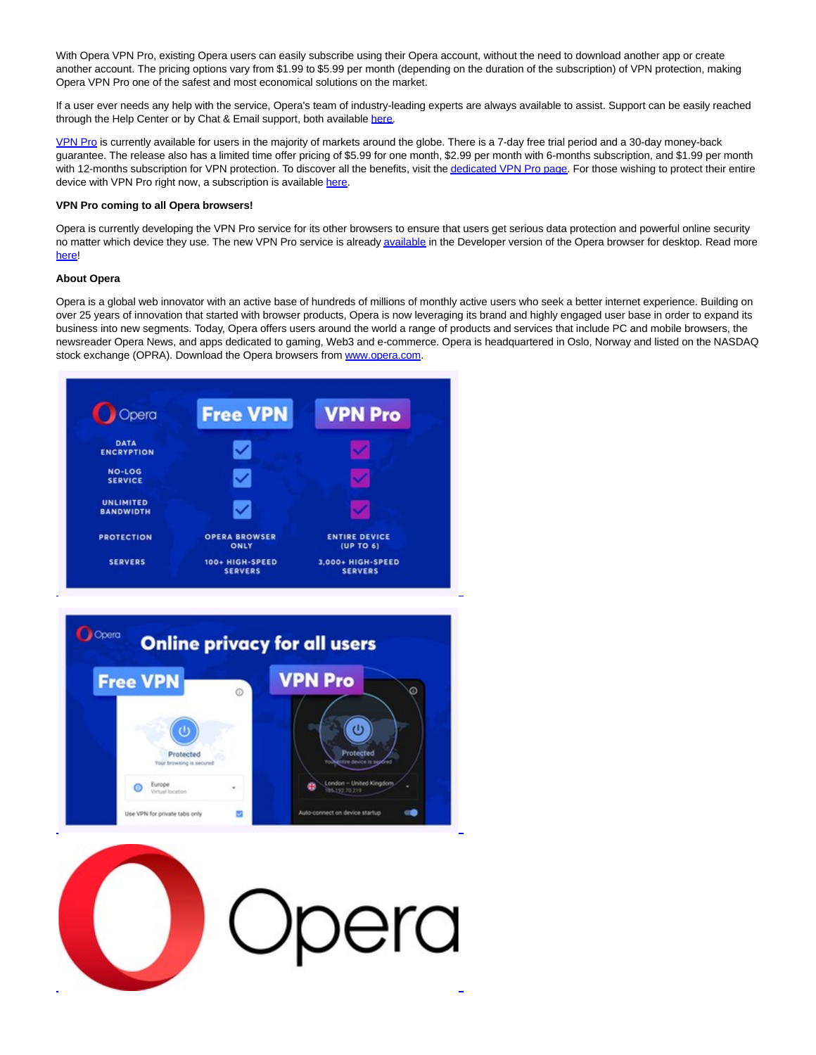With Opera VPN Pro, existing Opera users can easily subscribe using their Opera account, without the need to download another app or create another account. The pricing options vary from \$1.99 to \$5.99 per month (depending on the duration of the subscription) of VPN protection, making Opera VPN Pro one of the safest and most economical solutions on the market.

If a user ever needs any help with the service, Opera's team of industry-leading experts are always available to assist. Support can be easily reached through the Help Center or by Chat & Email support, both available [here.](https://c212.net/c/link/?t=0&l=en&o=3548086-1&h=283910206&u=https%3A%2F%2Fsup-opera.zendesk.com%2F&a=here)

[VPN Pro i](https://c212.net/c/link/?t=0&l=en&o=3548086-1&h=441768923&u=https%3A%2F%2Fwww.youtube.com%2Fwatch%3Fv%3DKU-wheiDWjw&a=VPN+Pro)s currently available for users in the majority of markets around the globe. There is a 7-day free trial period and a 30-day money-back guarantee. The release also has a limited time offer pricing of \$5.99 for one month, \$2.99 per month with 6-months subscription, and \$1.99 per month with 12-months subscription for VPN protection. To discover all the benefits, visit th[e dedicated VPN Pro page.](https://c212.net/c/link/?t=0&l=en&o=3548086-1&h=1712009014&u=https%3A%2F%2Fwww.opera.com%2Fproducts%2Fvpn-pro&a=dedicated+VPN+Pro+page) For those wishing to protect their entire device with VPN Pro right now, a subscription is available [here.](https://c212.net/c/link/?t=0&l=en&o=3548086-1&h=2017455345&u=https%3A%2F%2Fvpn-pro.onelink.me%2FTCPH%2Fhwo94jl9&a=here)

## **VPN Pro coming to all Opera browsers!**

Opera is currently developing the VPN Pro service for its other browsers to ensure that users get serious data protection and powerful online security no matter which device they use. The new VPN Pro service is alread[y available i](https://c212.net/c/link/?t=0&l=en&o=3548086-1&h=1241605701&u=https%3A%2F%2Fwww.opera.com%2Fdownload%23developer&a=available)n the Developer version of the Opera browser for desktop. Read more [here!](https://c212.net/c/link/?t=0&l=en&o=3548086-1&h=4038680573&u=https%3A%2F%2Fblogs.opera.com%2Fdesktop%2F2022%2F05%2Fopera-vpn-pro-developer%2F&a=here)

## **About Opera**

Opera is a global web innovator with an active base of hundreds of millions of monthly active users who seek a better internet experience. Building on over 25 years of innovation that started with browser products, Opera is now leveraging its brand and highly engaged user base in order to expand its business into new segments. Today, Opera offers users around the world a range of products and services that include PC and mobile browsers, the newsreader Opera News, and apps dedicated to gaming, Web3 and e-commerce. Opera is headquartered in Oslo, Norway and listed on the NASDAQ stock exchange (OPRA). Download the Opera browsers fro[m www.opera.com.](https://c212.net/c/link/?t=0&l=en&o=3548086-1&h=935750054&u=http%3A%2F%2Fwww.opera.com%2F&a=www.opera.com)